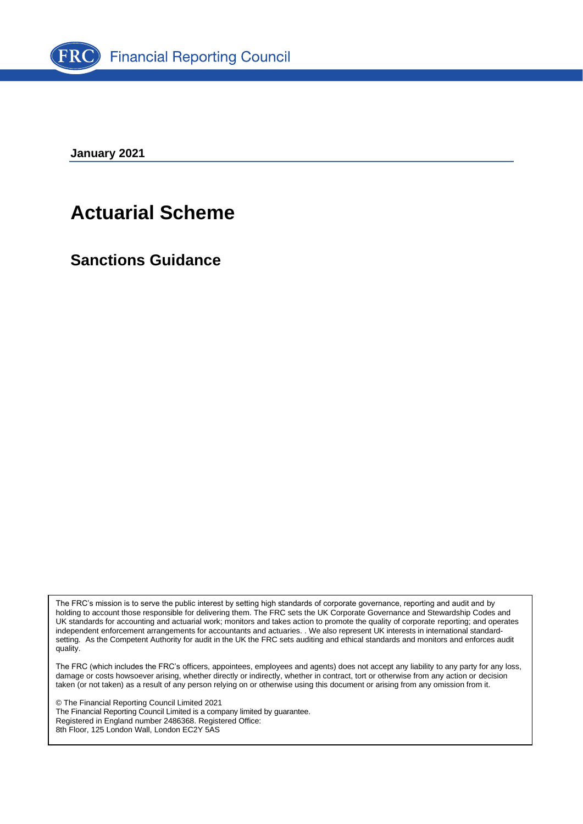

**January 2021**

# **Actuarial Scheme**

**Sanctions Guidance**

The FRC's mission is to serve the public interest by setting high standards of corporate governance, reporting and audit and by holding to account those responsible for delivering them. The FRC sets the UK Corporate Governance and Stewardship Codes and UK standards for accounting and actuarial work; monitors and takes action to promote the quality of corporate reporting; and operates independent enforcement arrangements for accountants and actuaries. . We also represent UK interests in international standardsetting. As the Competent Authority for audit in the UK the FRC sets auditing and ethical standards and monitors and enforces audit quality.

The FRC (which includes the FRC's officers, appointees, employees and agents) does not accept any liability to any party for any loss, damage or costs howsoever arising, whether directly or indirectly, whether in contract, tort or otherwise from any action or decision taken (or not taken) as a result of any person relying on or otherwise using this document or arising from any omission from it.

© The Financial Reporting Council Limited 2021 The Financial Reporting Council Limited is a company limited by guarantee. Registered in England number 2486368. Registered Office: 8th Floor, 125 London Wall, London EC2Y 5AS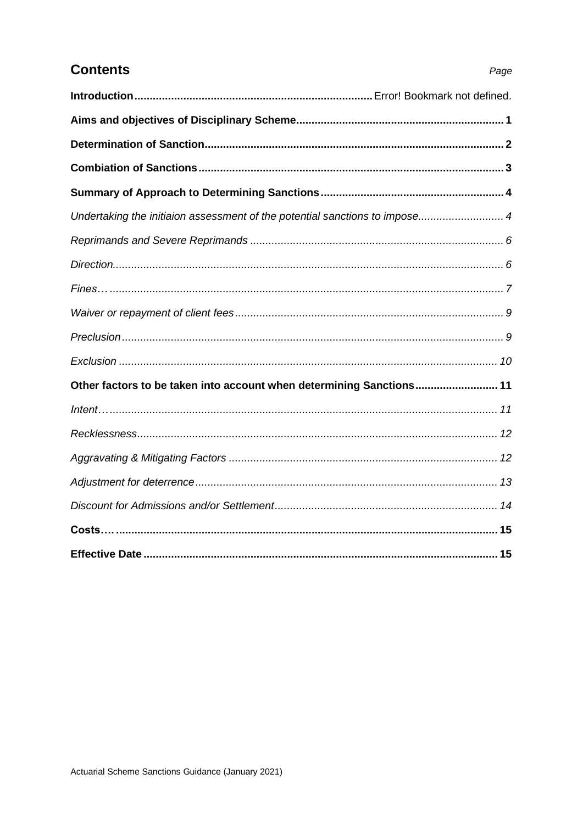# **Contents**

|--|

| Undertaking the initiaion assessment of the potential sanctions to impose 4 |  |
|-----------------------------------------------------------------------------|--|
|                                                                             |  |
|                                                                             |  |
|                                                                             |  |
|                                                                             |  |
|                                                                             |  |
|                                                                             |  |
| Other factors to be taken into account when determining Sanctions 11        |  |
|                                                                             |  |
|                                                                             |  |
|                                                                             |  |
|                                                                             |  |
|                                                                             |  |
|                                                                             |  |
|                                                                             |  |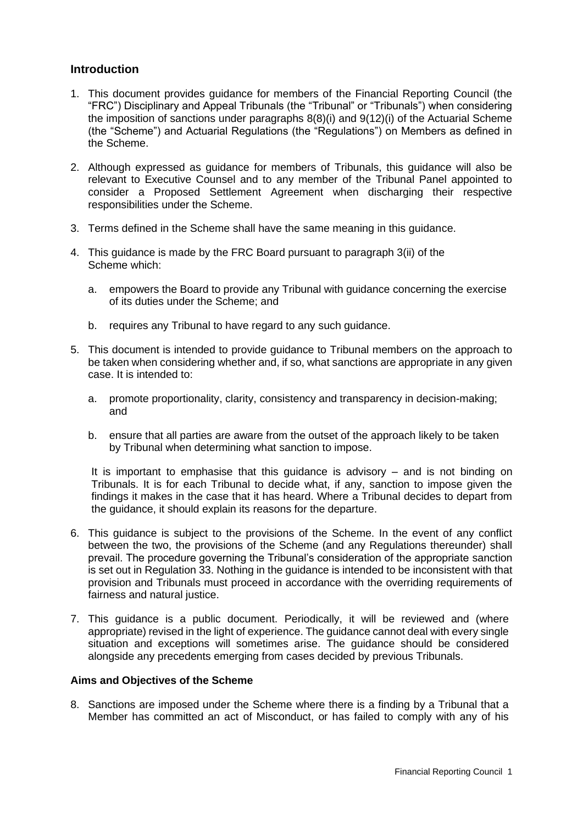# **Introduction**

- 1. This document provides guidance for members of the Financial Reporting Council (the "FRC") Disciplinary and Appeal Tribunals (the "Tribunal" or "Tribunals") when considering the imposition of sanctions under paragraphs 8(8)(i) and 9(12)(i) of the Actuarial Scheme (the "Scheme") and Actuarial Regulations (the "Regulations") on Members as defined in the Scheme.
- 2. Although expressed as guidance for members of Tribunals, this guidance will also be relevant to Executive Counsel and to any member of the Tribunal Panel appointed to consider a Proposed Settlement Agreement when discharging their respective responsibilities under the Scheme.
- 3. Terms defined in the Scheme shall have the same meaning in this guidance.
- 4. This guidance is made by the FRC Board pursuant to paragraph 3(ii) of the Scheme which:
	- a. empowers the Board to provide any Tribunal with guidance concerning the exercise of its duties under the Scheme; and
	- b. requires any Tribunal to have regard to any such guidance.
- 5. This document is intended to provide guidance to Tribunal members on the approach to be taken when considering whether and, if so, what sanctions are appropriate in any given case. It is intended to:
	- a. promote proportionality, clarity, consistency and transparency in decision-making; and
	- b. ensure that all parties are aware from the outset of the approach likely to be taken by Tribunal when determining what sanction to impose.

It is important to emphasise that this guidance is advisory – and is not binding on Tribunals. It is for each Tribunal to decide what, if any, sanction to impose given the findings it makes in the case that it has heard. Where a Tribunal decides to depart from the guidance, it should explain its reasons for the departure.

- 6. This guidance is subject to the provisions of the Scheme. In the event of any conflict between the two, the provisions of the Scheme (and any Regulations thereunder) shall prevail. The procedure governing the Tribunal's consideration of the appropriate sanction is set out in Regulation 33. Nothing in the guidance is intended to be inconsistent with that provision and Tribunals must proceed in accordance with the overriding requirements of fairness and natural justice.
- 7. This guidance is a public document. Periodically, it will be reviewed and (where appropriate) revised in the light of experience. The guidance cannot deal with every single situation and exceptions will sometimes arise. The guidance should be considered alongside any precedents emerging from cases decided by previous Tribunals.

#### **Aims and Objectives of the Scheme**

8. Sanctions are imposed under the Scheme where there is a finding by a Tribunal that a Member has committed an act of Misconduct, or has failed to comply with any of his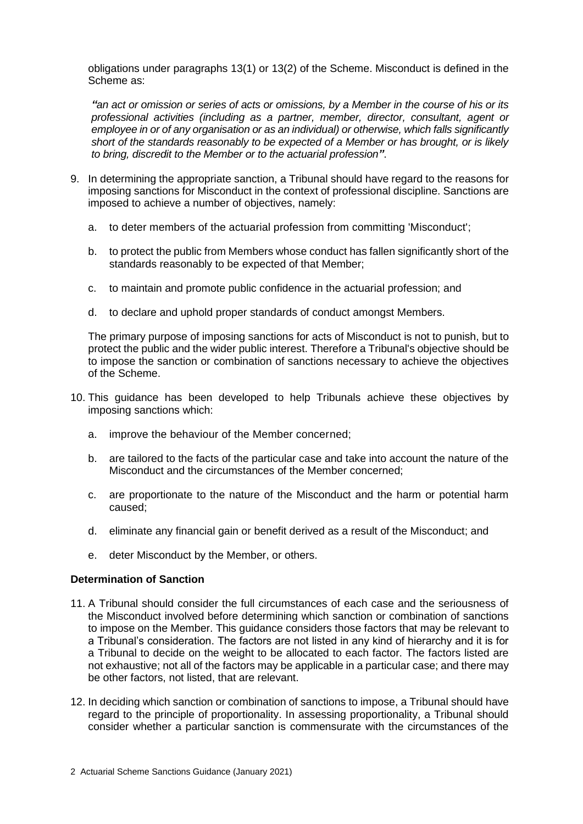obligations under paragraphs 13(1) or 13(2) of the Scheme. Misconduct is defined in the Scheme as:

*"an act or omission or series of acts or omissions, by a Member in the course of his or its professional activities (including as a partner, member, director, consultant, agent or employee in or of any organisation or as an individual) or otherwise, which falls significantly short of the standards reasonably to be expected of a Member or has brought, or is likely to bring, discredit to the Member or to the actuarial profession"*.

- 9. In determining the appropriate sanction, a Tribunal should have regard to the reasons for imposing sanctions for Misconduct in the context of professional discipline. Sanctions are imposed to achieve a number of objectives, namely:
	- a. to deter members of the actuarial profession from committing 'Misconduct';
	- b. to protect the public from Members whose conduct has fallen significantly short of the standards reasonably to be expected of that Member;
	- c. to maintain and promote public confidence in the actuarial profession; and
	- d. to declare and uphold proper standards of conduct amongst Members.

The primary purpose of imposing sanctions for acts of Misconduct is not to punish, but to protect the public and the wider public interest. Therefore a Tribunal's objective should be to impose the sanction or combination of sanctions necessary to achieve the objectives of the Scheme.

- 10. This guidance has been developed to help Tribunals achieve these objectives by imposing sanctions which:
	- a. improve the behaviour of the Member concerned;
	- b. are tailored to the facts of the particular case and take into account the nature of the Misconduct and the circumstances of the Member concerned;
	- c. are proportionate to the nature of the Misconduct and the harm or potential harm caused;
	- d. eliminate any financial gain or benefit derived as a result of the Misconduct; and
	- e. deter Misconduct by the Member, or others.

# **Determination of Sanction**

- 11. A Tribunal should consider the full circumstances of each case and the seriousness of the Misconduct involved before determining which sanction or combination of sanctions to impose on the Member. This guidance considers those factors that may be relevant to a Tribunal's consideration. The factors are not listed in any kind of hierarchy and it is for a Tribunal to decide on the weight to be allocated to each factor. The factors listed are not exhaustive; not all of the factors may be applicable in a particular case; and there may be other factors, not listed, that are relevant.
- 12. In deciding which sanction or combination of sanctions to impose, a Tribunal should have regard to the principle of proportionality. In assessing proportionality, a Tribunal should consider whether a particular sanction is commensurate with the circumstances of the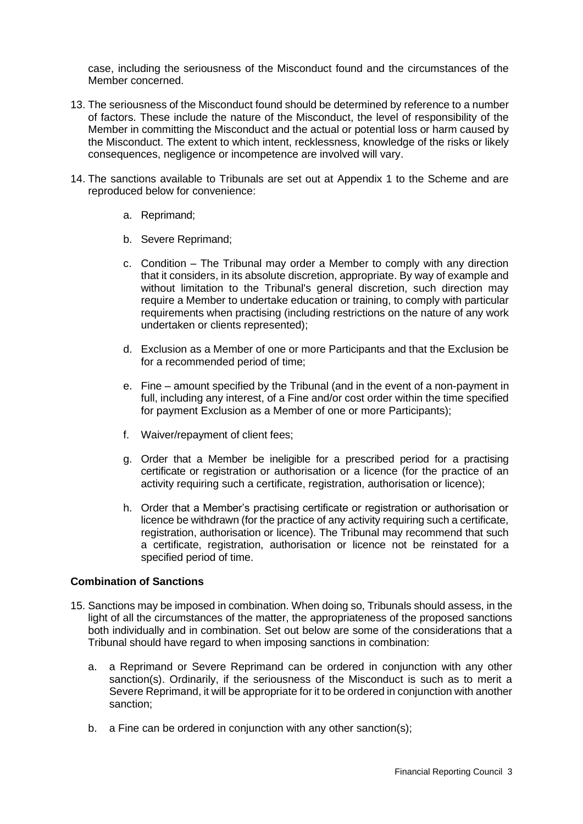case, including the seriousness of the Misconduct found and the circumstances of the Member concerned.

- 13. The seriousness of the Misconduct found should be determined by reference to a number of factors. These include the nature of the Misconduct, the level of responsibility of the Member in committing the Misconduct and the actual or potential loss or harm caused by the Misconduct. The extent to which intent, recklessness, knowledge of the risks or likely consequences, negligence or incompetence are involved will vary.
- 14. The sanctions available to Tribunals are set out at Appendix 1 to the Scheme and are reproduced below for convenience:
	- a. Reprimand;
	- b. Severe Reprimand;
	- c. Condition The Tribunal may order a Member to comply with any direction that it considers, in its absolute discretion, appropriate. By way of example and without limitation to the Tribunal's general discretion, such direction may require a Member to undertake education or training, to comply with particular requirements when practising (including restrictions on the nature of any work undertaken or clients represented);
	- d. Exclusion as a Member of one or more Participants and that the Exclusion be for a recommended period of time;
	- e. Fine amount specified by the Tribunal (and in the event of a non-payment in full, including any interest, of a Fine and/or cost order within the time specified for payment Exclusion as a Member of one or more Participants);
	- f. Waiver/repayment of client fees;
	- g. Order that a Member be ineligible for a prescribed period for a practising certificate or registration or authorisation or a licence (for the practice of an activity requiring such a certificate, registration, authorisation or licence);
	- h. Order that a Member's practising certificate or registration or authorisation or licence be withdrawn (for the practice of any activity requiring such a certificate, registration, authorisation or licence). The Tribunal may recommend that such a certificate, registration, authorisation or licence not be reinstated for a specified period of time.

# **Combination of Sanctions**

- 15. Sanctions may be imposed in combination. When doing so, Tribunals should assess, in the light of all the circumstances of the matter, the appropriateness of the proposed sanctions both individually and in combination. Set out below are some of the considerations that a Tribunal should have regard to when imposing sanctions in combination:
	- a. a Reprimand or Severe Reprimand can be ordered in conjunction with any other sanction(s). Ordinarily, if the seriousness of the Misconduct is such as to merit a Severe Reprimand, it will be appropriate for it to be ordered in conjunction with another sanction;
	- b. a Fine can be ordered in conjunction with any other sanction(s);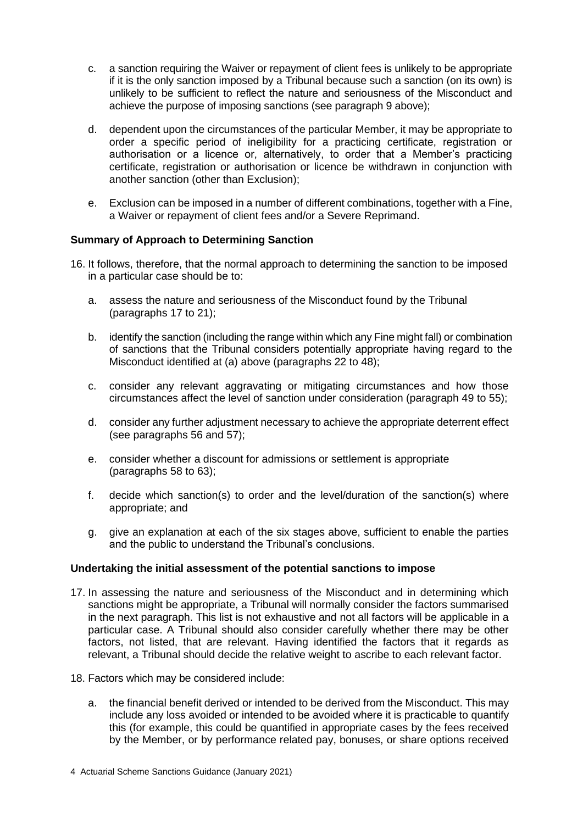- c. a sanction requiring the Waiver or repayment of client fees is unlikely to be appropriate if it is the only sanction imposed by a Tribunal because such a sanction (on its own) is unlikely to be sufficient to reflect the nature and seriousness of the Misconduct and achieve the purpose of imposing sanctions (see paragraph 9 above);
- d. dependent upon the circumstances of the particular Member, it may be appropriate to order a specific period of ineligibility for a practicing certificate, registration or authorisation or a licence or, alternatively, to order that a Member's practicing certificate, registration or authorisation or licence be withdrawn in conjunction with another sanction (other than Exclusion);
- e. Exclusion can be imposed in a number of different combinations, together with a Fine, a Waiver or repayment of client fees and/or a Severe Reprimand.

# **Summary of Approach to Determining Sanction**

- 16. It follows, therefore, that the normal approach to determining the sanction to be imposed in a particular case should be to:
	- a. assess the nature and seriousness of the Misconduct found by the Tribunal (paragraphs 17 to 21);
	- b. identify the sanction (including the range within which any Fine might fall) or combination of sanctions that the Tribunal considers potentially appropriate having regard to the Misconduct identified at (a) above (paragraphs 22 to 48);
	- c. consider any relevant aggravating or mitigating circumstances and how those circumstances affect the level of sanction under consideration (paragraph 49 to 55);
	- d. consider any further adjustment necessary to achieve the appropriate deterrent effect (see paragraphs 56 and 57);
	- e. consider whether a discount for admissions or settlement is appropriate (paragraphs 58 to 63);
	- f. decide which sanction(s) to order and the level/duration of the sanction(s) where appropriate; and
	- g. give an explanation at each of the six stages above, sufficient to enable the parties and the public to understand the Tribunal's conclusions.

# **Undertaking the initial assessment of the potential sanctions to impose**

- 17. In assessing the nature and seriousness of the Misconduct and in determining which sanctions might be appropriate, a Tribunal will normally consider the factors summarised in the next paragraph. This list is not exhaustive and not all factors will be applicable in a particular case. A Tribunal should also consider carefully whether there may be other factors, not listed, that are relevant. Having identified the factors that it regards as relevant, a Tribunal should decide the relative weight to ascribe to each relevant factor.
- 18. Factors which may be considered include:
	- a. the financial benefit derived or intended to be derived from the Misconduct. This may include any loss avoided or intended to be avoided where it is practicable to quantify this (for example, this could be quantified in appropriate cases by the fees received by the Member, or by performance related pay, bonuses, or share options received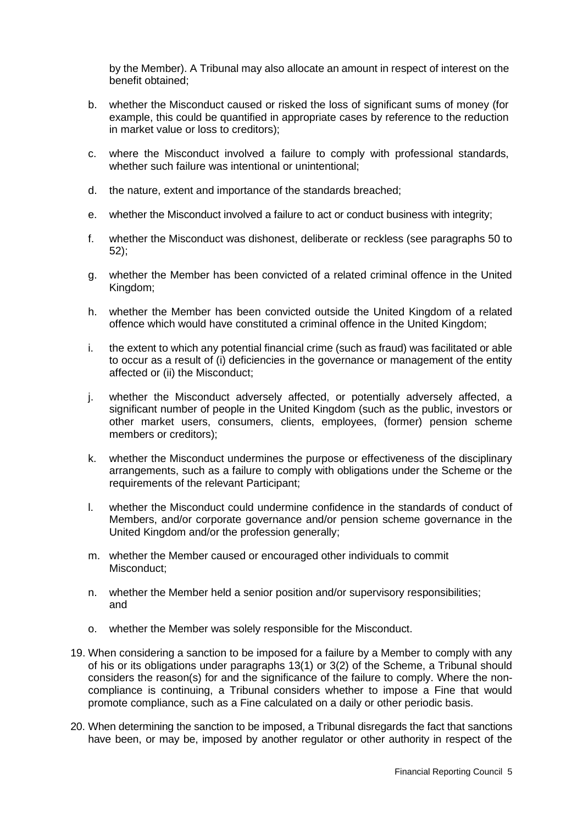by the Member). A Tribunal may also allocate an amount in respect of interest on the benefit obtained;

- b. whether the Misconduct caused or risked the loss of significant sums of money (for example, this could be quantified in appropriate cases by reference to the reduction in market value or loss to creditors);
- c. where the Misconduct involved a failure to comply with professional standards, whether such failure was intentional or unintentional;
- d. the nature, extent and importance of the standards breached;
- e. whether the Misconduct involved a failure to act or conduct business with integrity;
- f. whether the Misconduct was dishonest, deliberate or reckless (see paragraphs 50 to 52);
- g. whether the Member has been convicted of a related criminal offence in the United Kingdom;
- h. whether the Member has been convicted outside the United Kingdom of a related offence which would have constituted a criminal offence in the United Kingdom;
- i. the extent to which any potential financial crime (such as fraud) was facilitated or able to occur as a result of (i) deficiencies in the governance or management of the entity affected or (ii) the Misconduct;
- j. whether the Misconduct adversely affected, or potentially adversely affected, a significant number of people in the United Kingdom (such as the public, investors or other market users, consumers, clients, employees, (former) pension scheme members or creditors);
- k. whether the Misconduct undermines the purpose or effectiveness of the disciplinary arrangements, such as a failure to comply with obligations under the Scheme or the requirements of the relevant Participant;
- l. whether the Misconduct could undermine confidence in the standards of conduct of Members, and/or corporate governance and/or pension scheme governance in the United Kingdom and/or the profession generally;
- m. whether the Member caused or encouraged other individuals to commit Misconduct;
- n. whether the Member held a senior position and/or supervisory responsibilities; and
- o. whether the Member was solely responsible for the Misconduct.
- 19. When considering a sanction to be imposed for a failure by a Member to comply with any of his or its obligations under paragraphs 13(1) or 3(2) of the Scheme, a Tribunal should considers the reason(s) for and the significance of the failure to comply. Where the noncompliance is continuing, a Tribunal considers whether to impose a Fine that would promote compliance, such as a Fine calculated on a daily or other periodic basis.
- 20. When determining the sanction to be imposed, a Tribunal disregards the fact that sanctions have been, or may be, imposed by another regulator or other authority in respect of the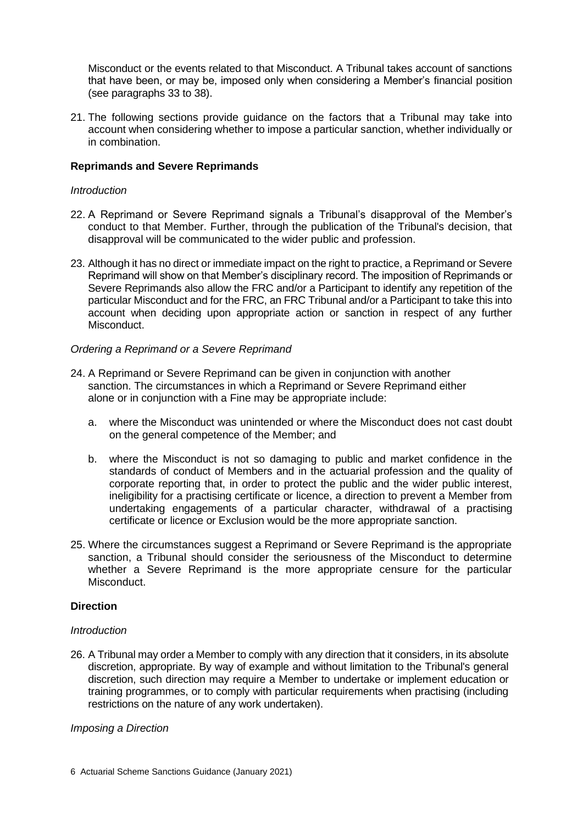Misconduct or the events related to that Misconduct. A Tribunal takes account of sanctions that have been, or may be, imposed only when considering a Member's financial position (see paragraphs 33 to 38).

21. The following sections provide guidance on the factors that a Tribunal may take into account when considering whether to impose a particular sanction, whether individually or in combination.

# **Reprimands and Severe Reprimands**

#### *Introduction*

- 22. A Reprimand or Severe Reprimand signals a Tribunal's disapproval of the Member's conduct to that Member. Further, through the publication of the Tribunal's decision, that disapproval will be communicated to the wider public and profession.
- 23. Although it has no direct or immediate impact on the right to practice, a Reprimand or Severe Reprimand will show on that Member's disciplinary record. The imposition of Reprimands or Severe Reprimands also allow the FRC and/or a Participant to identify any repetition of the particular Misconduct and for the FRC, an FRC Tribunal and/or a Participant to take this into account when deciding upon appropriate action or sanction in respect of any further **Misconduct**

# *Ordering a Reprimand or a Severe Reprimand*

- 24. A Reprimand or Severe Reprimand can be given in conjunction with another sanction. The circumstances in which a Reprimand or Severe Reprimand either alone or in conjunction with a Fine may be appropriate include:
	- a. where the Misconduct was unintended or where the Misconduct does not cast doubt on the general competence of the Member; and
	- b. where the Misconduct is not so damaging to public and market confidence in the standards of conduct of Members and in the actuarial profession and the quality of corporate reporting that, in order to protect the public and the wider public interest, ineligibility for a practising certificate or licence, a direction to prevent a Member from undertaking engagements of a particular character, withdrawal of a practising certificate or licence or Exclusion would be the more appropriate sanction.
- 25. Where the circumstances suggest a Reprimand or Severe Reprimand is the appropriate sanction, a Tribunal should consider the seriousness of the Misconduct to determine whether a Severe Reprimand is the more appropriate censure for the particular Misconduct.

#### **Direction**

#### *Introduction*

26. A Tribunal may order a Member to comply with any direction that it considers, in its absolute discretion, appropriate. By way of example and without limitation to the Tribunal's general discretion, such direction may require a Member to undertake or implement education or training programmes, or to comply with particular requirements when practising (including restrictions on the nature of any work undertaken).

#### *Imposing a Direction*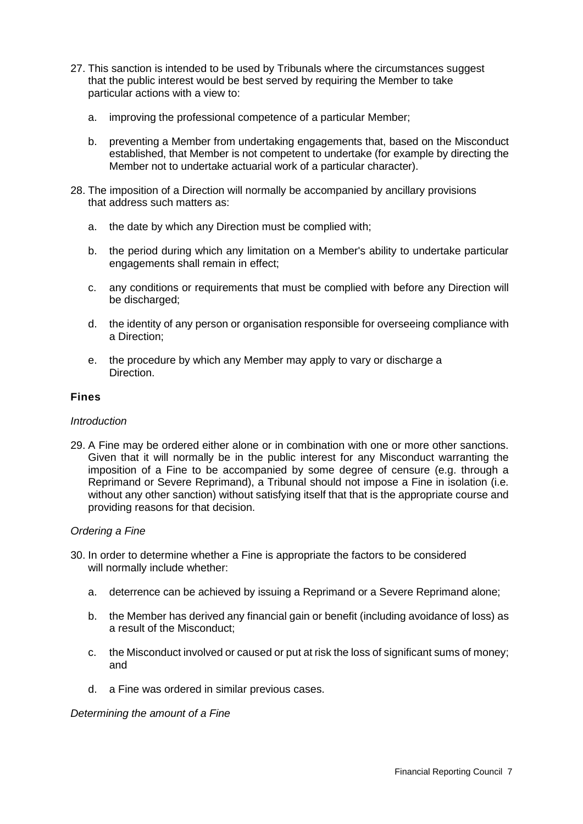- 27. This sanction is intended to be used by Tribunals where the circumstances suggest that the public interest would be best served by requiring the Member to take particular actions with a view to:
	- a. improving the professional competence of a particular Member;
	- b. preventing a Member from undertaking engagements that, based on the Misconduct established, that Member is not competent to undertake (for example by directing the Member not to undertake actuarial work of a particular character).
- 28. The imposition of a Direction will normally be accompanied by ancillary provisions that address such matters as:
	- a. the date by which any Direction must be complied with;
	- b. the period during which any limitation on a Member's ability to undertake particular engagements shall remain in effect;
	- c. any conditions or requirements that must be complied with before any Direction will be discharged;
	- d. the identity of any person or organisation responsible for overseeing compliance with a Direction;
	- e. the procedure by which any Member may apply to vary or discharge a Direction.

# **Fines**

#### *Introduction*

29. A Fine may be ordered either alone or in combination with one or more other sanctions. Given that it will normally be in the public interest for any Misconduct warranting the imposition of a Fine to be accompanied by some degree of censure (e.g. through a Reprimand or Severe Reprimand), a Tribunal should not impose a Fine in isolation (i.e. without any other sanction) without satisfying itself that that is the appropriate course and providing reasons for that decision.

#### *Ordering a Fine*

- 30. In order to determine whether a Fine is appropriate the factors to be considered will normally include whether:
	- a. deterrence can be achieved by issuing a Reprimand or a Severe Reprimand alone;
	- b. the Member has derived any financial gain or benefit (including avoidance of loss) as a result of the Misconduct;
	- c. the Misconduct involved or caused or put at risk the loss of significant sums of money; and
	- d. a Fine was ordered in similar previous cases.

#### *Determining the amount of a Fine*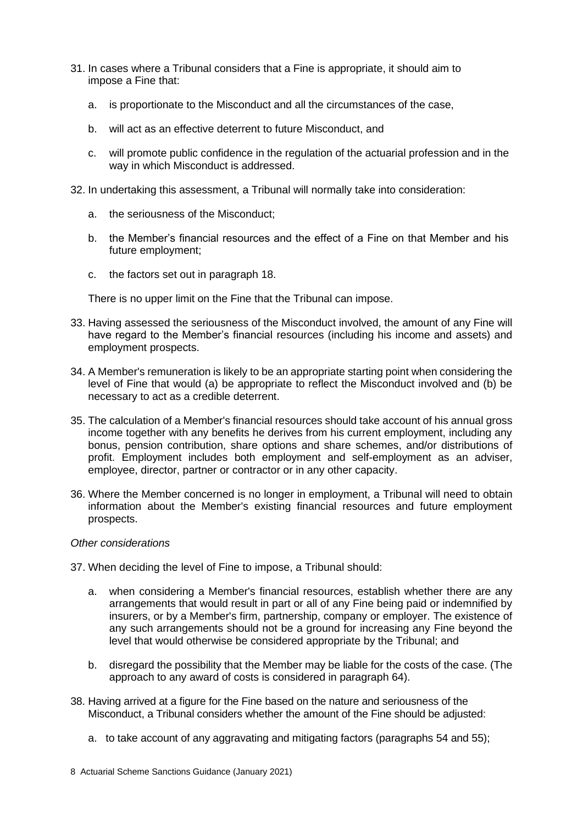- 31. In cases where a Tribunal considers that a Fine is appropriate, it should aim to impose a Fine that:
	- a. is proportionate to the Misconduct and all the circumstances of the case,
	- b. will act as an effective deterrent to future Misconduct, and
	- c. will promote public confidence in the regulation of the actuarial profession and in the way in which Misconduct is addressed.
- 32. In undertaking this assessment, a Tribunal will normally take into consideration:
	- a. the seriousness of the Misconduct;
	- b. the Member's financial resources and the effect of a Fine on that Member and his future employment;
	- c. the factors set out in paragraph 18.

There is no upper limit on the Fine that the Tribunal can impose.

- 33. Having assessed the seriousness of the Misconduct involved, the amount of any Fine will have regard to the Member's financial resources (including his income and assets) and employment prospects.
- 34. A Member's remuneration is likely to be an appropriate starting point when considering the level of Fine that would (a) be appropriate to reflect the Misconduct involved and (b) be necessary to act as a credible deterrent.
- 35. The calculation of a Member's financial resources should take account of his annual gross income together with any benefits he derives from his current employment, including any bonus, pension contribution, share options and share schemes, and/or distributions of profit. Employment includes both employment and self-employment as an adviser, employee, director, partner or contractor or in any other capacity.
- 36. Where the Member concerned is no longer in employment, a Tribunal will need to obtain information about the Member's existing financial resources and future employment prospects.

#### *Other considerations*

- 37. When deciding the level of Fine to impose, a Tribunal should:
	- a. when considering a Member's financial resources, establish whether there are any arrangements that would result in part or all of any Fine being paid or indemnified by insurers, or by a Member's firm, partnership, company or employer. The existence of any such arrangements should not be a ground for increasing any Fine beyond the level that would otherwise be considered appropriate by the Tribunal; and
	- b. disregard the possibility that the Member may be liable for the costs of the case. (The approach to any award of costs is considered in paragraph 64).
- 38. Having arrived at a figure for the Fine based on the nature and seriousness of the Misconduct, a Tribunal considers whether the amount of the Fine should be adjusted:
	- a. to take account of any aggravating and mitigating factors (paragraphs 54 and 55);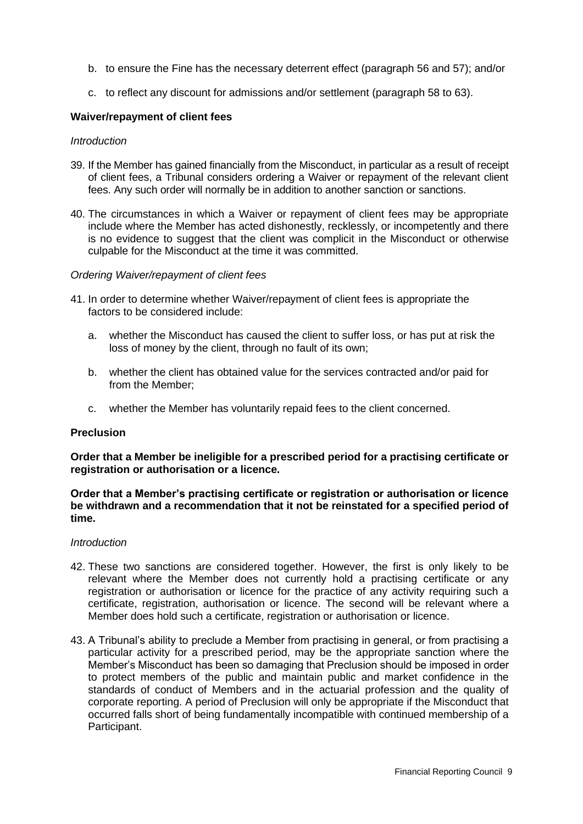- b. to ensure the Fine has the necessary deterrent effect (paragraph 56 and 57); and/or
- c. to reflect any discount for admissions and/or settlement (paragraph 58 to 63).

#### **Waiver/repayment of client fees**

#### *Introduction*

- 39. If the Member has gained financially from the Misconduct, in particular as a result of receipt of client fees, a Tribunal considers ordering a Waiver or repayment of the relevant client fees. Any such order will normally be in addition to another sanction or sanctions.
- 40. The circumstances in which a Waiver or repayment of client fees may be appropriate include where the Member has acted dishonestly, recklessly, or incompetently and there is no evidence to suggest that the client was complicit in the Misconduct or otherwise culpable for the Misconduct at the time it was committed.

#### *Ordering Waiver/repayment of client fees*

- 41. In order to determine whether Waiver/repayment of client fees is appropriate the factors to be considered include:
	- a. whether the Misconduct has caused the client to suffer loss, or has put at risk the loss of money by the client, through no fault of its own;
	- b. whether the client has obtained value for the services contracted and/or paid for from the Member;
	- c. whether the Member has voluntarily repaid fees to the client concerned.

#### **Preclusion**

**Order that a Member be ineligible for a prescribed period for a practising certificate or registration or authorisation or a licence.**

#### **Order that a Member's practising certificate or registration or authorisation or licence be withdrawn and a recommendation that it not be reinstated for a specified period of time.**

#### *Introduction*

- 42. These two sanctions are considered together. However, the first is only likely to be relevant where the Member does not currently hold a practising certificate or any registration or authorisation or licence for the practice of any activity requiring such a certificate, registration, authorisation or licence. The second will be relevant where a Member does hold such a certificate, registration or authorisation or licence.
- 43. A Tribunal's ability to preclude a Member from practising in general, or from practising a particular activity for a prescribed period, may be the appropriate sanction where the Member's Misconduct has been so damaging that Preclusion should be imposed in order to protect members of the public and maintain public and market confidence in the standards of conduct of Members and in the actuarial profession and the quality of corporate reporting. A period of Preclusion will only be appropriate if the Misconduct that occurred falls short of being fundamentally incompatible with continued membership of a Participant.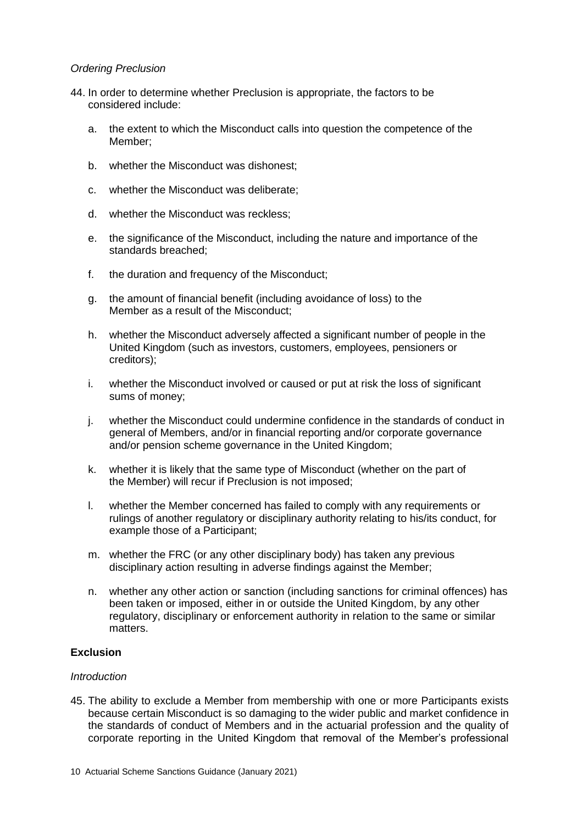# *Ordering Preclusion*

- 44. In order to determine whether Preclusion is appropriate, the factors to be considered include:
	- a. the extent to which the Misconduct calls into question the competence of the Member;
	- b. whether the Misconduct was dishonest;
	- c. whether the Misconduct was deliberate;
	- d. whether the Misconduct was reckless;
	- e. the significance of the Misconduct, including the nature and importance of the standards breached;
	- f. the duration and frequency of the Misconduct;
	- g. the amount of financial benefit (including avoidance of loss) to the Member as a result of the Misconduct;
	- h. whether the Misconduct adversely affected a significant number of people in the United Kingdom (such as investors, customers, employees, pensioners or creditors);
	- i. whether the Misconduct involved or caused or put at risk the loss of significant sums of money;
	- j. whether the Misconduct could undermine confidence in the standards of conduct in general of Members, and/or in financial reporting and/or corporate governance and/or pension scheme governance in the United Kingdom;
	- k. whether it is likely that the same type of Misconduct (whether on the part of the Member) will recur if Preclusion is not imposed;
	- l. whether the Member concerned has failed to comply with any requirements or rulings of another regulatory or disciplinary authority relating to his/its conduct, for example those of a Participant;
	- m. whether the FRC (or any other disciplinary body) has taken any previous disciplinary action resulting in adverse findings against the Member;
	- n. whether any other action or sanction (including sanctions for criminal offences) has been taken or imposed, either in or outside the United Kingdom, by any other regulatory, disciplinary or enforcement authority in relation to the same or similar matters.

# **Exclusion**

#### *Introduction*

45. The ability to exclude a Member from membership with one or more Participants exists because certain Misconduct is so damaging to the wider public and market confidence in the standards of conduct of Members and in the actuarial profession and the quality of corporate reporting in the United Kingdom that removal of the Member's professional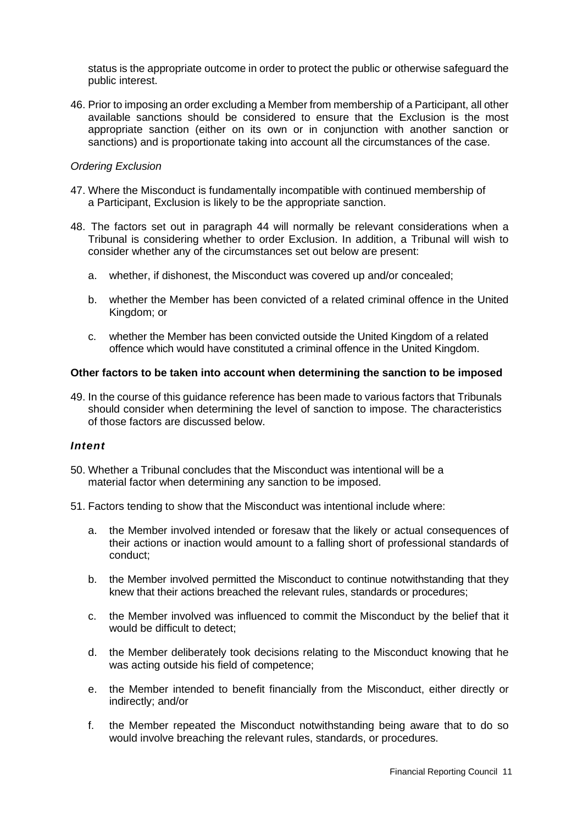status is the appropriate outcome in order to protect the public or otherwise safeguard the public interest.

46. Prior to imposing an order excluding a Member from membership of a Participant, all other available sanctions should be considered to ensure that the Exclusion is the most appropriate sanction (either on its own or in conjunction with another sanction or sanctions) and is proportionate taking into account all the circumstances of the case.

# *Ordering Exclusion*

- 47. Where the Misconduct is fundamentally incompatible with continued membership of a Participant, Exclusion is likely to be the appropriate sanction.
- 48. The factors set out in paragraph 44 will normally be relevant considerations when a Tribunal is considering whether to order Exclusion. In addition, a Tribunal will wish to consider whether any of the circumstances set out below are present:
	- a. whether, if dishonest, the Misconduct was covered up and/or concealed;
	- b. whether the Member has been convicted of a related criminal offence in the United Kingdom; or
	- c. whether the Member has been convicted outside the United Kingdom of a related offence which would have constituted a criminal offence in the United Kingdom.

# **Other factors to be taken into account when determining the sanction to be imposed**

49. In the course of this guidance reference has been made to various factors that Tribunals should consider when determining the level of sanction to impose. The characteristics of those factors are discussed below.

#### *Intent*

- 50. Whether a Tribunal concludes that the Misconduct was intentional will be a material factor when determining any sanction to be imposed.
- 51. Factors tending to show that the Misconduct was intentional include where:
	- a. the Member involved intended or foresaw that the likely or actual consequences of their actions or inaction would amount to a falling short of professional standards of conduct;
	- b. the Member involved permitted the Misconduct to continue notwithstanding that they knew that their actions breached the relevant rules, standards or procedures;
	- c. the Member involved was influenced to commit the Misconduct by the belief that it would be difficult to detect;
	- d. the Member deliberately took decisions relating to the Misconduct knowing that he was acting outside his field of competence;
	- e. the Member intended to benefit financially from the Misconduct, either directly or indirectly; and/or
	- f. the Member repeated the Misconduct notwithstanding being aware that to do so would involve breaching the relevant rules, standards, or procedures.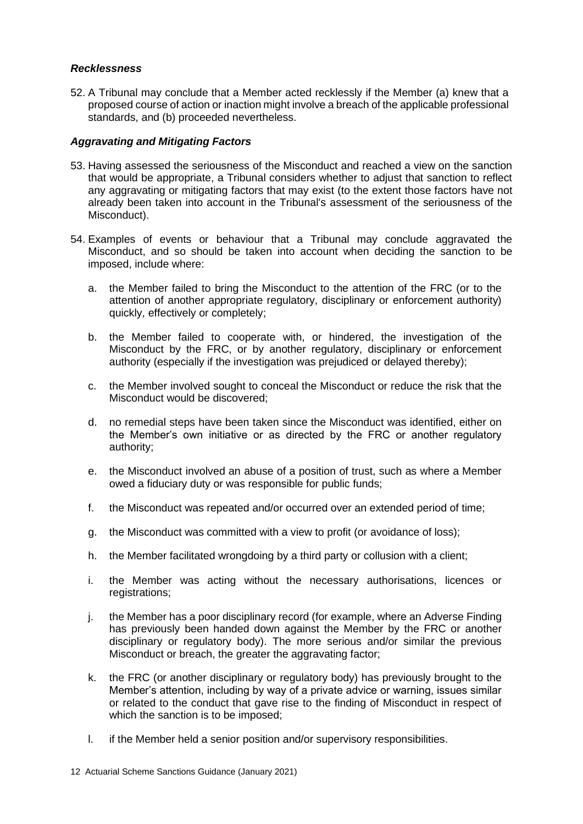# *Recklessness*

52. A Tribunal may conclude that a Member acted recklessly if the Member (a) knew that a proposed course of action or inaction might involve a breach of the applicable professional standards, and (b) proceeded nevertheless.

# *Aggravating and Mitigating Factors*

- 53. Having assessed the seriousness of the Misconduct and reached a view on the sanction that would be appropriate, a Tribunal considers whether to adjust that sanction to reflect any aggravating or mitigating factors that may exist (to the extent those factors have not already been taken into account in the Tribunal's assessment of the seriousness of the Misconduct).
- 54. Examples of events or behaviour that a Tribunal may conclude aggravated the Misconduct, and so should be taken into account when deciding the sanction to be imposed, include where:
	- a. the Member failed to bring the Misconduct to the attention of the FRC (or to the attention of another appropriate regulatory, disciplinary or enforcement authority) quickly, effectively or completely;
	- b. the Member failed to cooperate with, or hindered, the investigation of the Misconduct by the FRC, or by another regulatory, disciplinary or enforcement authority (especially if the investigation was prejudiced or delayed thereby);
	- c. the Member involved sought to conceal the Misconduct or reduce the risk that the Misconduct would be discovered;
	- d. no remedial steps have been taken since the Misconduct was identified, either on the Member's own initiative or as directed by the FRC or another regulatory authority;
	- e. the Misconduct involved an abuse of a position of trust, such as where a Member owed a fiduciary duty or was responsible for public funds;
	- f. the Misconduct was repeated and/or occurred over an extended period of time;
	- g. the Misconduct was committed with a view to profit (or avoidance of loss);
	- h. the Member facilitated wrongdoing by a third party or collusion with a client;
	- i. the Member was acting without the necessary authorisations, licences or registrations;
	- j. the Member has a poor disciplinary record (for example, where an Adverse Finding has previously been handed down against the Member by the FRC or another disciplinary or regulatory body). The more serious and/or similar the previous Misconduct or breach, the greater the aggravating factor;
	- k. the FRC (or another disciplinary or regulatory body) has previously brought to the Member's attention, including by way of a private advice or warning, issues similar or related to the conduct that gave rise to the finding of Misconduct in respect of which the sanction is to be imposed;
	- l. if the Member held a senior position and/or supervisory responsibilities.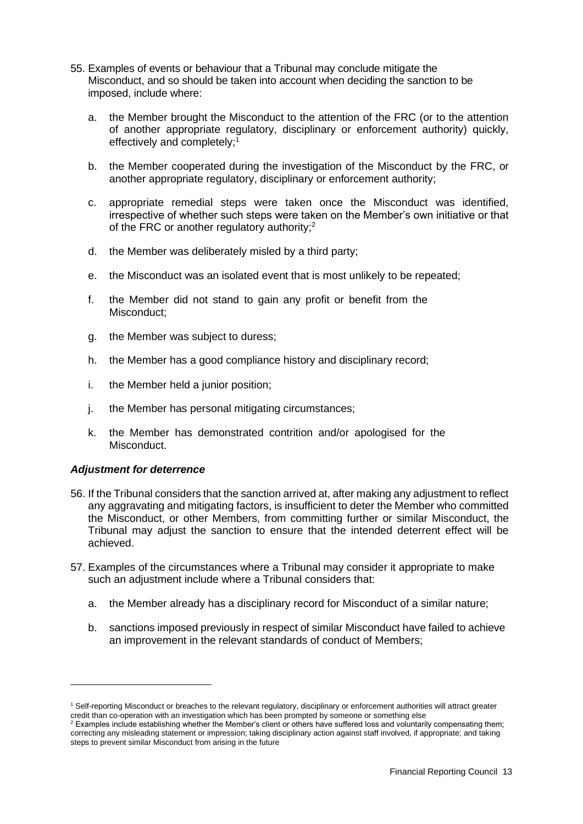- 55. Examples of events or behaviour that a Tribunal may conclude mitigate the Misconduct, and so should be taken into account when deciding the sanction to be imposed, include where:
	- a. the Member brought the Misconduct to the attention of the FRC (or to the attention of another appropriate regulatory, disciplinary or enforcement authority) quickly, effectively and completely;<sup>1</sup>
	- b. the Member cooperated during the investigation of the Misconduct by the FRC, or another appropriate regulatory, disciplinary or enforcement authority;
	- c. appropriate remedial steps were taken once the Misconduct was identified, irrespective of whether such steps were taken on the Member's own initiative or that of the FRC or another regulatory authority;<sup>2</sup>
	- d. the Member was deliberately misled by a third party;
	- e. the Misconduct was an isolated event that is most unlikely to be repeated;
	- f. the Member did not stand to gain any profit or benefit from the Misconduct;
	- g. the Member was subject to duress;
	- h. the Member has a good compliance history and disciplinary record;
	- i. the Member held a junior position;
	- j. the Member has personal mitigating circumstances;
	- k. the Member has demonstrated contrition and/or apologised for the Misconduct.

#### *Adjustment for deterrence*

- 56. If the Tribunal considers that the sanction arrived at, after making any adjustment to reflect any aggravating and mitigating factors, is insufficient to deter the Member who committed the Misconduct, or other Members, from committing further or similar Misconduct, the Tribunal may adjust the sanction to ensure that the intended deterrent effect will be achieved.
- 57. Examples of the circumstances where a Tribunal may consider it appropriate to make such an adjustment include where a Tribunal considers that:
	- a. the Member already has a disciplinary record for Misconduct of a similar nature;
	- b. sanctions imposed previously in respect of similar Misconduct have failed to achieve an improvement in the relevant standards of conduct of Members;

<sup>1</sup> Self-reporting Misconduct or breaches to the relevant regulatory, disciplinary or enforcement authorities will attract greater credit than co-operation with an investigation which has been prompted by someone or something else

 $2$  Examples include establishing whether the Member's client or others have suffered loss and voluntarily compensating them; correcting any misleading statement or impression; taking disciplinary action against staff involved, if appropriate; and taking steps to prevent similar Misconduct from arising in the future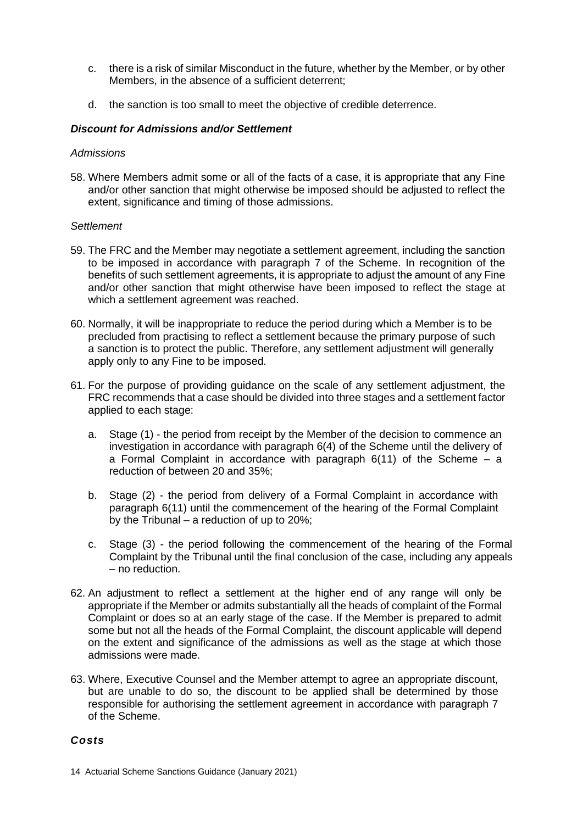- c. there is a risk of similar Misconduct in the future, whether by the Member, or by other Members, in the absence of a sufficient deterrent;
- d. the sanction is too small to meet the objective of credible deterrence.

# *Discount for Admissions and/or Settlement*

#### *Admissions*

58. Where Members admit some or all of the facts of a case, it is appropriate that any Fine and/or other sanction that might otherwise be imposed should be adjusted to reflect the extent, significance and timing of those admissions.

#### *Settlement*

- 59. The FRC and the Member may negotiate a settlement agreement, including the sanction to be imposed in accordance with paragraph 7 of the Scheme. In recognition of the benefits of such settlement agreements, it is appropriate to adjust the amount of any Fine and/or other sanction that might otherwise have been imposed to reflect the stage at which a settlement agreement was reached.
- 60. Normally, it will be inappropriate to reduce the period during which a Member is to be precluded from practising to reflect a settlement because the primary purpose of such a sanction is to protect the public. Therefore, any settlement adjustment will generally apply only to any Fine to be imposed.
- 61. For the purpose of providing guidance on the scale of any settlement adjustment, the FRC recommends that a case should be divided into three stages and a settlement factor applied to each stage:
	- a. Stage (1) the period from receipt by the Member of the decision to commence an investigation in accordance with paragraph 6(4) of the Scheme until the delivery of a Formal Complaint in accordance with paragraph  $6(11)$  of the Scheme  $-$  a reduction of between 20 and 35%;
	- b. Stage (2) the period from delivery of a Formal Complaint in accordance with paragraph 6(11) until the commencement of the hearing of the Formal Complaint by the Tribunal – a reduction of up to 20%;
	- c. Stage (3) the period following the commencement of the hearing of the Formal Complaint by the Tribunal until the final conclusion of the case, including any appeals – no reduction.
- 62. An adjustment to reflect a settlement at the higher end of any range will only be appropriate if the Member or admits substantially all the heads of complaint of the Formal Complaint or does so at an early stage of the case. If the Member is prepared to admit some but not all the heads of the Formal Complaint, the discount applicable will depend on the extent and significance of the admissions as well as the stage at which those admissions were made.
- 63. Where, Executive Counsel and the Member attempt to agree an appropriate discount, but are unable to do so, the discount to be applied shall be determined by those responsible for authorising the settlement agreement in accordance with paragraph 7 of the Scheme.

#### *Costs*

<sup>14</sup> Actuarial Scheme Sanctions Guidance (January 2021)